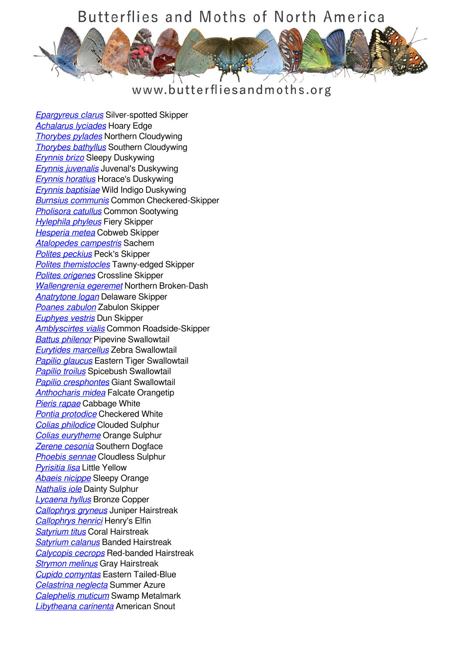## Butterflies and Moths of North America

## www.butterfliesandmoths.org

*[Epargyreus clarus](/species/Epargyreus-clarus)* Silver-spotted Skipper *[Achalarus lyciades](/species/Achalarus-lyciades)* Hoary Edge *[Thorybes pylades](/species/Thorybes-pylades)* Northern Cloudywing *[Thorybes bathyllus](/species/Thorybes-bathyllus)* Southern Cloudywing *[Erynnis brizo](/species/Erynnis-brizo)* Sleepy Duskywing *[Erynnis juvenalis](/species/Erynnis-juvenalis)* Juvenal's Duskywing *[Erynnis horatius](/species/Erynnis-horatius)* Horace's Duskywing *[Erynnis baptisiae](/species/Erynnis-baptisiae)* Wild Indigo Duskywing *[Burnsius communis](/species/Pyrgus-communis)* Common Checkered-Skipper *[Pholisora catullus](/species/Pholisora-catullus)* Common Sootywing *[Hylephila phyleus](/species/Hylephila-phyleus)* Fiery Skipper *[Hesperia metea](/species/Hesperia-metea)* Cobweb Skipper *[Atalopedes campestris](/species/Atalopedes-campestris)* Sachem *[Polites peckius](/species/Polites-peckius)* Peck's Skipper *[Polites themistocles](/species/Polites-themistocles)* Tawny-edged Skipper *[Polites origenes](/species/Polites-origenes)* Crossline Skipper *[Wallengrenia egeremet](/species/Wallengrenia-egeremet)* Northern Broken-Dash *[Anatrytone logan](/species/Anatrytone-logan)* Delaware Skipper *[Poanes zabulon](/species/Poanes-zabulon)* Zabulon Skipper *[Euphyes vestris](/species/Euphyes-vestris)* Dun Skipper *[Amblyscirtes vialis](/species/Amblyscirtes-vialis)* Common Roadside-Skipper *[Battus philenor](/species/Battus-philenor)* Pipevine Swallowtail *[Eurytides marcellus](/species/Eurytides-marcellus)* Zebra Swallowtail *[Papilio glaucus](/species/Papilio-glaucus)* Eastern Tiger Swallowtail *[Papilio troilus](/species/Papilio-troilus)* Spicebush Swallowtail *[Papilio cresphontes](/species/Papilio-cresphontes)* Giant Swallowtail *[Anthocharis midea](/species/Anthocharis-midea)* Falcate Orangetip *[Pieris rapae](/species/Pieris-rapae)* Cabbage White *[Pontia protodice](/species/Pontia-protodice)* Checkered White *[Colias philodice](/species/Colias-philodice)* Clouded Sulphur *[Colias eurytheme](/species/Colias-eurytheme)* Orange Sulphur *[Zerene cesonia](/species/Zerene-cesonia)* Southern Dogface *[Phoebis sennae](/species/Phoebis-sennae)* Cloudless Sulphur *[Pyrisitia lisa](/species/Pyrisitia-lisa)* Little Yellow *[Abaeis nicippe](/species/Abaeis-nicippe)* Sleepy Orange *[Nathalis iole](/species/Nathalis-iole)* Dainty Sulphur *[Lycaena hyllus](/species/Lycaena-hyllus)* Bronze Copper *[Callophrys gryneus](/species/Callophrys-gryneus)* Juniper Hairstreak *[Callophrys henrici](/species/Callophrys-henrici)* Henry's Elfin *[Satyrium titus](/species/Satyrium-titus)* Coral Hairstreak *[Satyrium calanus](/species/Satyrium-calanus)* Banded Hairstreak *[Calycopis cecrops](/species/Calycopis-cecrops)* Red-banded Hairstreak *[Strymon melinus](/species/Strymon-melinus)* Gray Hairstreak *[Cupido comyntas](/species/Cupido-comyntas)* Eastern Tailed-Blue *[Celastrina neglecta](/species/Celastrina-neglecta)* Summer Azure *[Calephelis muticum](/species/Calephelis-muticum)* Swamp Metalmark *[Libytheana carinenta](/species/Libytheana-carinenta)* American Snout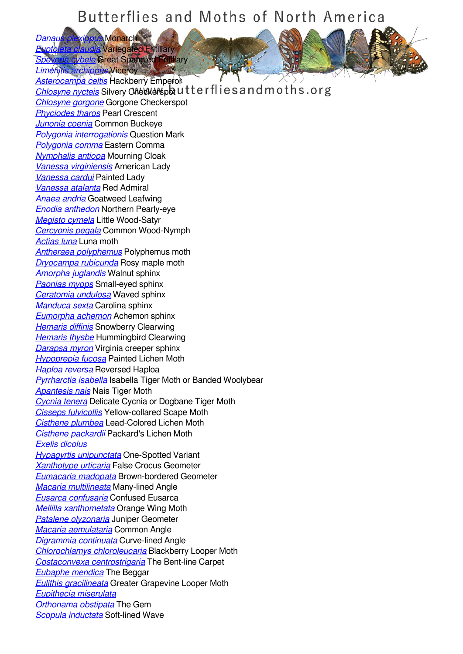## Butterflies and Moths of North America

*[Danaus plexippus](/species/Danaus-plexippus)* Monarch *[Euptoieta claudia](/species/Euptoieta-claudia)* Variegated Fritillary *<u>Whele</u>* Great Spangled Fritillary

*[Limenitis archippus](/species/Limenitis-archippus)* Viceroy

*[Asterocampa celtis](/species/Asterocampa-celtis)* Hackberry Emperor **[Chlosyne nycteis](/species/Chlosyne-nycteis)** Silvery Checkerspot utterflies and moths.org *[Chlosyne gorgone](/species/Chlosyne-gorgone)* Gorgone Checkerspot *[Phyciodes tharos](/species/Phyciodes-tharos)* Pearl Crescent *[Junonia coenia](/species/Junonia-coenia)* Common Buckeye *[Polygonia interrogationis](/species/Polygonia-interrogationis)* Question Mark *[Polygonia comma](/species/Polygonia-comma)* Eastern Comma *[Nymphalis antiopa](/species/Nymphalis-antiopa)* Mourning Cloak *[Vanessa virginiensis](/species/Vanessa-virginiensis)* American Lady *[Vanessa cardui](/species/Vanessa-cardui)* Painted Lady *[Vanessa atalanta](/species/Vanessa-atalanta)* Red Admiral *[Anaea andria](/species/Anaea-andria)* Goatweed Leafwing *[Enodia anthedon](/species/Enodia-anthedon)* Northern Pearly-eye *[Megisto cymela](/species/Megisto-cymela)* Little Wood-Satyr *[Cercyonis pegala](/species/Cercyonis-pegala)* Common Wood-Nymph *[Actias luna](/species/Actias-luna)* Luna moth *[Antheraea polyphemus](/species/Antheraea-polyphemus)* Polyphemus moth *[Dryocampa rubicunda](/species/Dryocampa-rubicunda)* Rosy maple moth *[Amorpha juglandis](/species/Amorpha-juglandis)* Walnut sphinx *[Paonias myops](/species/Paonias-myops)* Small-eyed sphinx *[Ceratomia undulosa](/species/Ceratomia-undulosa)* Waved sphinx *[Manduca sexta](/species/Manduca-sexta)* Carolina sphinx *[Eumorpha achemon](/species/Eumorpha-achemon)* Achemon sphinx *[Hemaris diffinis](/species/Hemaris-diffinis)* Snowberry Clearwing *[Hemaris thysbe](/species/Hemaris-thysbe)* Hummingbird Clearwing *[Darapsa myron](/species/Darapsa-myron)* Virginia creeper sphinx *[Hypoprepia fucosa](/species/Hypoprepia-fucosa)* Painted Lichen Moth *[Haploa reversa](/species/Haploa-reversa)* Reversed Haploa *[Pyrrharctia isabella](/species/Pyrrharctia-isabella)* Isabella Tiger Moth or Banded Woolybear *[Apantesis nais](/species/Apantesis-nais)* Nais Tiger Moth *[Cycnia tenera](/species/Cycnia-tenera)* Delicate Cycnia or Dogbane Tiger Moth *[Cisseps fulvicollis](/species/Cisseps-fulvicollis)* Yellow-collared Scape Moth *[Cisthene plumbea](/species/Cisthene-plumbea)* Lead-Colored Lichen Moth *[Cisthene packardii](/species/Cisthene-packardii)* Packard's Lichen Moth *[Exelis dicolus](/species/Exelis-dicolus) [Hypagyrtis unipunctata](/species/Hypagyrtis-unipunctata)* One-Spotted Variant *[Xanthotype urticaria](/species/Xanthotype-urticaria)* False Crocus Geometer *[Eumacaria madopata](/species/Eumacaria-madopata)* Brown-bordered Geometer *[Macaria multilineata](/species/Macaria-multilineata)* Many-lined Angle *[Eusarca confusaria](/species/Eusarca-confusaria)* Confused Eusarca *[Mellilla xanthometata](/species/Mellilla-xanthometata)* Orange Wing Moth *[Patalene olyzonaria](/species/Patalene-olyzonaria)* Juniper Geometer *[Macaria aemulataria](/species/Macaria-aemulataria)* Common Angle *[Digrammia continuata](/species/Digrammia-continuata)* Curve-lined Angle *[Chlorochlamys chloroleucaria](/species/Chlorochlamys-chloroleucaria)* Blackberry Looper Moth *[Costaconvexa centrostrigaria](/species/Costaconvexa-centrostrigaria)* The Bent-line Carpet *[Eubaphe mendica](/species/Eubaphe-mendica)* The Beggar *[Eulithis gracilineata](/species/Eulithis-gracilineata)* Greater Grapevine Looper Moth *[Eupithecia miserulata](/species/Eupithecia-miserulata) [Orthonama obstipata](/species/Orthonama-obstipata)* The Gem *[Scopula inductata](/species/Scopula-inductata)* Soft-lined Wave